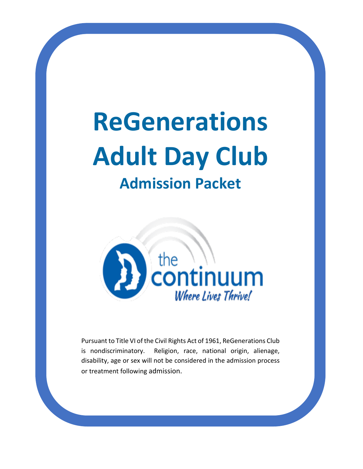# **ReGenerations Adult Day Club**

# **Admission Packet**



Pursuant to Title VI of the Civil Rights Act of 1961, ReGenerations Club is nondiscriminatory. Religion, race, national origin, alienage, disability, age or sex will not be considered in the admission process or treatment following admission.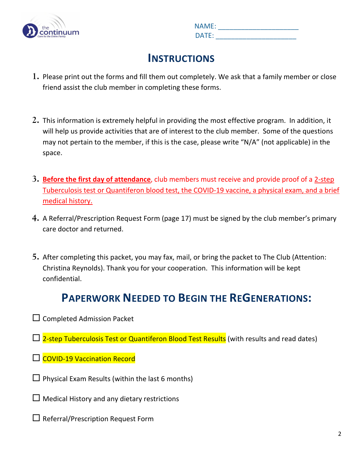

|     | <b>NAME:</b>    |
|-----|-----------------|
| lum | $\mathsf{DATF}$ |

### **INSTRUCTIONS**

- **1.** Please print out the forms and fill them out completely. We ask that a family member or close friend assist the club member in completing these forms.
- **2.** This information is extremely helpful in providing the most effective program. In addition, it will help us provide activities that are of interest to the club member. Some of the questions may not pertain to the member, if this is the case, please write "N/A" (not applicable) in the space.
- **3. Before the first day of attendance**, club members must receive and provide proof of a 2-step Tuberculosis test or Quantiferon blood test, the COVID-19 vaccine, a physical exam, and a brief medical history.
- **4.** A Referral/Prescription Request Form (page 17) must be signed by the club member's primary care doctor and returned.
- **5.** After completing this packet, you may fax, mail, or bring the packet to The Club (Attention: Christina Reynolds). Thank you for your cooperation. This information will be kept confidential.

# **PAPERWORK NEEDED TO BEGIN THE REGENERATIONS:**

- $\Box$  Completed Admission Packet
- $\Box$  2-step Tuberculosis Test or Quantiferon Blood Test Results (with results and read dates)
- □ COVID-19 Vaccination Record
- $\Box$  Physical Exam Results (within the last 6 months)
- $\Box$  Medical History and any dietary restrictions
- $\square$  Referral/Prescription Request Form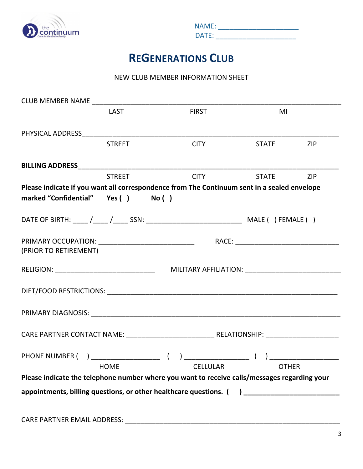

|     | <b>NAME:</b> |
|-----|--------------|
| lum | DATF         |

# **REGENERATIONS CLUB**

#### NEW CLUB MEMBER INFORMATION SHEET

|                                    | LAST          | <b>FIRST</b>                                                                                        | MI             |  |
|------------------------------------|---------------|-----------------------------------------------------------------------------------------------------|----------------|--|
|                                    |               |                                                                                                     |                |  |
|                                    | <b>STREET</b> | <b>CITY</b>                                                                                         | STATE ZIP      |  |
|                                    |               |                                                                                                     |                |  |
|                                    | <b>STREET</b> |                                                                                                     | CITY STATE ZIP |  |
|                                    |               | Please indicate if you want all correspondence from The Continuum sent in a sealed envelope         |                |  |
| marked "Confidential" Yes () No () |               |                                                                                                     |                |  |
|                                    |               |                                                                                                     |                |  |
| (PRIOR TO RETIREMENT)              |               |                                                                                                     |                |  |
|                                    |               |                                                                                                     |                |  |
|                                    |               |                                                                                                     |                |  |
|                                    |               |                                                                                                     |                |  |
|                                    |               |                                                                                                     |                |  |
|                                    | <b>HOME</b>   | <b>CELLULAR</b>                                                                                     | <b>OTHER</b>   |  |
|                                    |               | Please indicate the telephone number where you want to receive calls/messages regarding your        |                |  |
|                                    |               | appointments, billing questions, or other healthcare questions. () ________________________________ |                |  |
| <b>CARE PARTNER EMAIL ADDRESS:</b> |               |                                                                                                     |                |  |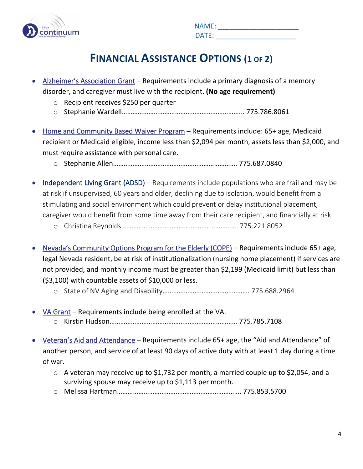

|     | <b>NAME:</b> |
|-----|--------------|
| lum | DATE:        |

# **FINANCIAL ASSISTANCE OPTIONS (1 OF 2)**

- Alzheimer's Association Grant Requirements include a primary diagnosis of a memory disorder, and caregiver must live with the recipient. **(No age requirement)**
	- o Recipient receives \$250 per quarter
	- o Stephanie Wardell…………………………………………………………... 775.786.8061
- Home and Community Based Waiver Program Requirements include: 65+ age, Medicaid recipient or Medicaid eligible, income less than \$2,094 per month, assets less than \$2,000, and must require assistance with personal care.
	- o Stephanie Allen……………………………………………………………. 775.687.0840
- Independent Living Grant (ADSD) Requirements include populations who are frail and may be at risk if unsupervised, 60 years and older, declining due to isolation, would benefit from a stimulating and social environment which could prevent or delay institutional placement, caregiver would benefit from some time away from their care recipient, and financially at risk.
	- o Christina Reynolds…………………………………………………………. 775.221.8052
- Nevada's Community Options Program for the Elderly (COPE) Requirements include 65+ age, legal Nevada resident, be at risk of institutionalization (nursing home placement) if services are not provided, and monthly income must be greater than \$2,199 (Medicaid limit) but less than (\$3,100) with countable assets of \$10,000 or less.
	- o State of NV Aging and Disability…………………………………………. 775.688.2964
- VA Grant Requirements include being enrolled at the VA. o Kirstin Hudson……………………………………………………………… 775.785.7108
- Veteran's Aid and Attendance Requirements include 65+ age, the "Aid and Attendance" of another person, and service of at least 90 days of active duty with at least 1 day during a time of war.
	- o A veteran may receive up to \$1,732 per month, a married couple up to \$2,054, and a surviving spouse may receive up to \$1,113 per month.
	- o Melissa Hartman……………………………………………………………. 775.853.5700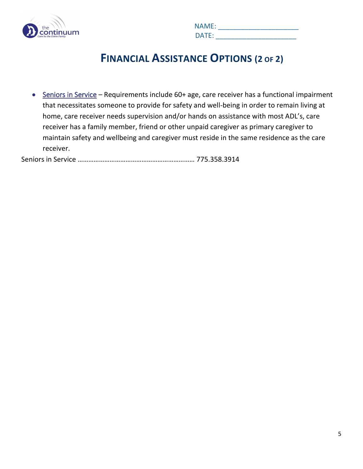

|     | <b>NAME:</b> |
|-----|--------------|
| lum | DATF<br>--   |

### **FINANCIAL ASSISTANCE OPTIONS (2 OF 2)**

• Seniors in Service – Requirements include 60+ age, care receiver has a functional impairment that necessitates someone to provide for safety and well-being in order to remain living at home, care receiver needs supervision and/or hands on assistance with most ADL's, care receiver has a family member, friend or other unpaid caregiver as primary caregiver to maintain safety and wellbeing and caregiver must reside in the same residence as the care receiver.

Seniors in Service ………………………………………………………… 775.358.3914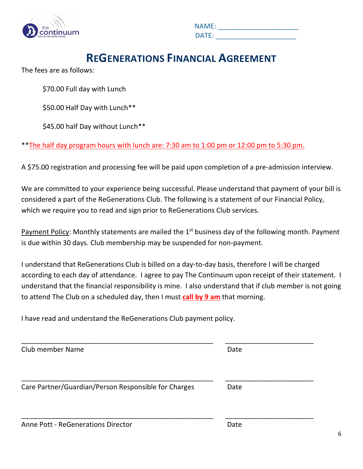

|     | <b>NAME:</b> |
|-----|--------------|
| lum | DATF         |

### **REGENERATIONS FINANCIAL AGREEMENT**

The fees are as follows:

\$70.00 Full day with Lunch

\$50.00 Half Day with Lunch\*\*

\$45.00 half Day without Lunch\*\*

\*\*The half day program hours with lunch are: 7:30 am to 1:00 pm or 12:00 pm to 5:30 pm.

A \$75.00 registration and processing fee will be paid upon completion of a pre-admission interview.

We are committed to your experience being successful. Please understand that payment of your bill is considered a part of the ReGenerations Club. The following is a statement of our Financial Policy, which we require you to read and sign prior to ReGenerations Club services.

Payment Policy: Monthly statements are mailed the  $1<sup>st</sup>$  business day of the following month. Payment is due within 30 days. Club membership may be suspended for non-payment.

I understand that ReGenerations Club is billed on a day-to-day basis, therefore I will be charged according to each day of attendance. I agree to pay The Continuum upon receipt of their statement. I understand that the financial responsibility is mine. I also understand that if club member is not going to attend The Club on a scheduled day, then I must **call by 9 am** that morning.

I have read and understand the ReGenerations Club payment policy.

| <b>Club member Name</b>                              | Date |
|------------------------------------------------------|------|
| Care Partner/Guardian/Person Responsible for Charges | Date |
| Anne Pott - ReGenerations Director                   | Date |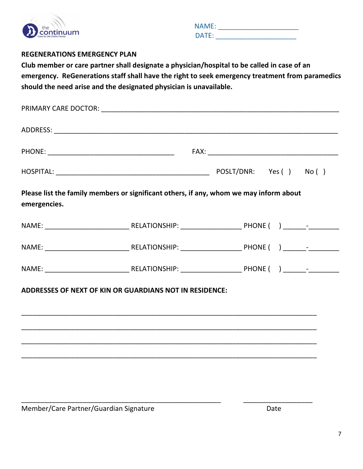

|     | <b>NAME:</b> |
|-----|--------------|
| lum | DATF         |

#### **REGENERATIONS EMERGENCY PLAN**

**Club member or care partner shall designate a physician/hospital to be called in case of an emergency. ReGenerations staff shall have the right to seek emergency treatment from paramedics should the need arise and the designated physician is unavailable.**

| emergencies. | Please list the family members or significant others, if any, whom we may inform about |  |
|--------------|----------------------------------------------------------------------------------------|--|
|              |                                                                                        |  |
|              |                                                                                        |  |
|              |                                                                                        |  |
|              | ADDRESSES OF NEXT OF KIN OR GUARDIANS NOT IN RESIDENCE:                                |  |
|              |                                                                                        |  |

\_\_\_\_\_\_\_\_\_\_\_\_\_\_\_\_\_\_\_\_\_\_\_\_\_\_\_\_\_\_\_\_\_\_\_\_\_\_\_\_\_\_\_\_\_\_\_\_\_\_\_\_ \_\_\_\_\_\_\_\_\_\_\_\_\_\_\_\_\_\_

Member/Care Partner/Guardian Signature data and the Date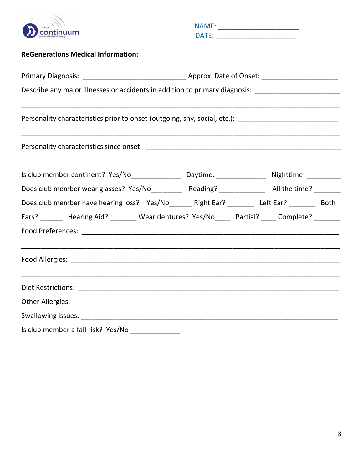

 NAME: \_\_\_\_\_\_\_\_\_\_\_\_\_\_\_\_\_\_\_\_\_ DATE: \_\_\_\_\_\_\_\_\_\_\_\_\_\_\_\_\_\_\_\_\_

#### **ReGenerations Medical Information:**

| Describe any major illnesses or accidents in addition to primary diagnosis: _______________________                                                                                       |  |
|-------------------------------------------------------------------------------------------------------------------------------------------------------------------------------------------|--|
| ,我们也不能在这里的,我们也不能在这里的人,我们也不能在这里的人,我们也不能在这里的人,我们也不能在这里的人,我们也不能在这里的人,我们也不能在这里的人,我们也不<br>Personality characteristics prior to onset (outgoing, shy, social, etc.): __________________________ |  |
|                                                                                                                                                                                           |  |
| Is club member continent? Yes/No________________________Daytime: ___________________________________                                                                                      |  |
| Does club member wear glasses? Yes/No__________ Reading? ______________ All the time? ________                                                                                            |  |
| Does club member have hearing loss? Yes/No_______ Right Ear? ________ Left Ear? ________ Both                                                                                             |  |
| Ears? _______ Hearing Aid? _______ Wear dentures? Yes/No____ Partial? ____ Complete? _______                                                                                              |  |
|                                                                                                                                                                                           |  |
|                                                                                                                                                                                           |  |
|                                                                                                                                                                                           |  |
|                                                                                                                                                                                           |  |
|                                                                                                                                                                                           |  |
| $\mathbf{r}$ and $\mathbf{r}$ are assumed as the set of $\mathbf{r}$ and $\mathbf{r}$ are assumed as the set of $\mathbf{r}$                                                              |  |

Is club member a fall risk? Yes/No \_\_\_\_\_\_\_\_\_\_\_\_\_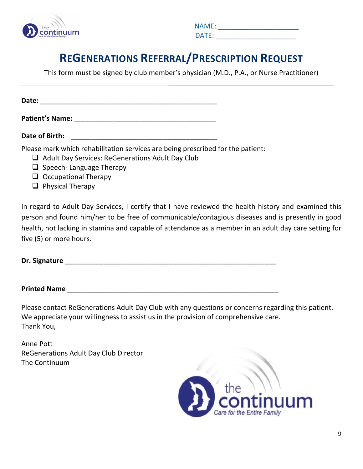

|     | <b>NAME:</b> |
|-----|--------------|
| lum | DATE:        |

# **REGENERATIONS REFERRAL/PRESCRIPTION REQUEST**

This form must be signed by club member's physician (M.D., P.A., or Nurse Practitioner)

**Date:** \_\_\_\_\_\_\_\_\_\_\_\_\_\_\_\_\_\_\_\_\_\_\_\_\_\_\_\_\_\_\_\_\_\_\_\_\_\_\_\_\_\_\_\_\_\_

**Patient's Name:** \_\_\_\_\_\_\_\_\_\_\_\_\_\_\_\_\_\_\_\_\_\_\_\_\_\_\_\_\_\_\_\_\_\_\_\_\_

**Date of Birth:**  $\blacksquare$ 

Please mark which rehabilitation services are being prescribed for the patient:

- $\Box$  Adult Day Services: ReGenerations Adult Day Club
- $\Box$  Speech- Language Therapy
- $\Box$  Occupational Therapy
- $\Box$  Physical Therapy

In regard to Adult Day Services, I certify that I have reviewed the health history and examined this person and found him/her to be free of communicable/contagious diseases and is presently in good health, not lacking in stamina and capable of attendance as a member in an adult day care setting for five (5) or more hours.

#### **Dr. Signature Dr.** Signature **and the set of the set of the set of the set of the set of the set of the set of the set of the set of the set of the set of the set of the set of the set of the set of the set of the set o**

#### **Printed Name** \_\_\_\_\_\_\_\_\_\_\_\_\_\_\_\_\_\_\_\_\_\_\_\_\_\_\_\_\_\_\_\_\_\_\_\_\_\_\_\_\_\_\_\_\_\_\_\_\_\_\_\_\_\_\_

Please contact ReGenerations Adult Day Club with any questions or concerns regarding this patient. We appreciate your willingness to assist us in the provision of comprehensive care. Thank You,

Anne Pott ReGenerations Adult Day Club Director The Continuum

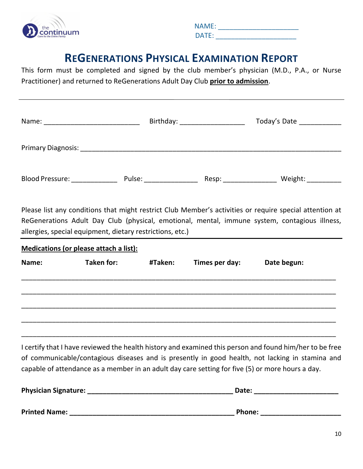

|     | <b>NAME:</b>    |
|-----|-----------------|
| lum | $\mathsf{DATF}$ |

### **REGENERATIONS PHYSICAL EXAMINATION REPORT**

This form must be completed and signed by the club member's physician (M.D., P.A., or Nurse Practitioner) and returned to ReGenerations Adult Day Club **prior to admission**.

| Name:              | Birthday: ___ |       | Today's Date |  |
|--------------------|---------------|-------|--------------|--|
| Primary Diagnosis: |               |       |              |  |
| Blood Pressure:    | Pulse:        | Resp: | Weight:      |  |

Please list any conditions that might restrict Club Member's activities or require special attention at ReGenerations Adult Day Club (physical, emotional, mental, immune system, contagious illness, allergies, special equipment, dietary restrictions, etc.)

| Medications (or please attach a list): |            |         |                |             |  |
|----------------------------------------|------------|---------|----------------|-------------|--|
| Name:                                  | Taken for: | #Taken: | Times per day: | Date begun: |  |
|                                        |            |         |                |             |  |
|                                        |            |         |                |             |  |
|                                        |            |         |                |             |  |
|                                        |            |         |                |             |  |

I certify that I have reviewed the health history and examined this person and found him/her to be free of communicable/contagious diseases and is presently in good health, not lacking in stamina and capable of attendance as a member in an adult day care setting for five (5) or more hours a day.

| <b>Physician Signature:</b> | Date:  |
|-----------------------------|--------|
|                             |        |
| <b>Printed Name:</b>        | Phone: |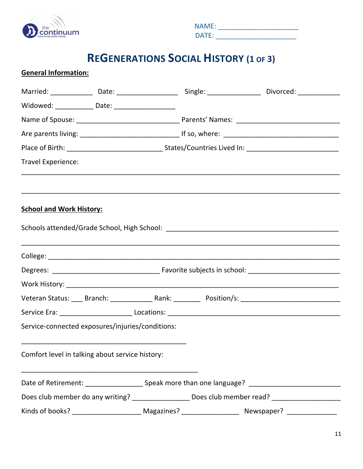

|     | <b>NAME:</b>    |
|-----|-----------------|
| lum | $\mathsf{DATF}$ |

# **REGENERATIONS SOCIAL HISTORY (1 OF 3)**

| <b>General Information:</b>                                                                                    |  |  |
|----------------------------------------------------------------------------------------------------------------|--|--|
| Married: _______________ Date: _____________________ Single: ___________________ Divorced: ______________      |  |  |
| Widowed: ______________ Date: ______________________                                                           |  |  |
|                                                                                                                |  |  |
|                                                                                                                |  |  |
|                                                                                                                |  |  |
| <b>Travel Experience:</b>                                                                                      |  |  |
| <b>School and Work History:</b>                                                                                |  |  |
|                                                                                                                |  |  |
|                                                                                                                |  |  |
|                                                                                                                |  |  |
|                                                                                                                |  |  |
|                                                                                                                |  |  |
|                                                                                                                |  |  |
| Service-connected exposures/injuries/conditions:                                                               |  |  |
| Comfort level in talking about service history:                                                                |  |  |
| Date of Retirement: ________________________________Speak more than one language? ____________________________ |  |  |
| Does club member do any writing? __________________ Does club member read? _______________________             |  |  |
|                                                                                                                |  |  |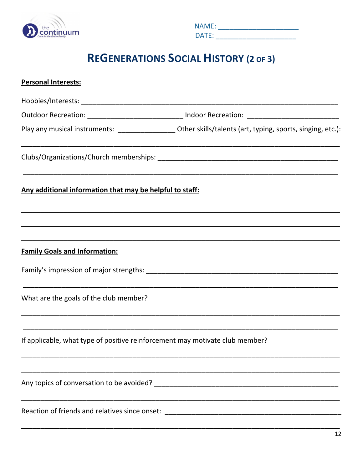

| <b>NAME:</b> |  |  |  |  |
|--------------|--|--|--|--|
| DATE:        |  |  |  |  |

# **REGENERATIONS SOCIAL HISTORY (2 OF 3)**

| <b>Personal Interests:</b>                                                   |                                                                                                               |
|------------------------------------------------------------------------------|---------------------------------------------------------------------------------------------------------------|
|                                                                              |                                                                                                               |
|                                                                              | Outdoor Recreation: _________________________________ Indoor Recreation: __________________________           |
|                                                                              | Play any musical instruments: ____________________ Other skills/talents (art, typing, sports, singing, etc.): |
|                                                                              |                                                                                                               |
| Any additional information that may be helpful to staff:                     |                                                                                                               |
|                                                                              |                                                                                                               |
| <b>Family Goals and Information:</b>                                         |                                                                                                               |
|                                                                              |                                                                                                               |
| What are the goals of the club member?                                       |                                                                                                               |
| If applicable, what type of positive reinforcement may motivate club member? |                                                                                                               |
|                                                                              |                                                                                                               |
| Reaction of friends and relatives since onset:                               |                                                                                                               |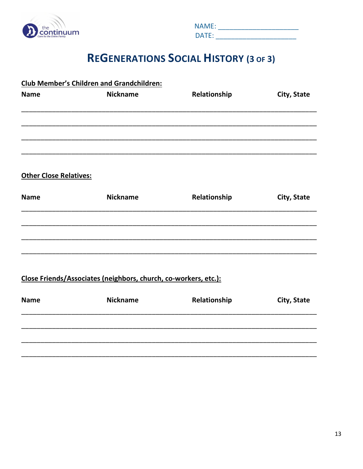

| <b>NAME:</b> |  |  |  |  |  |
|--------------|--|--|--|--|--|
| DATE:        |  |  |  |  |  |

# **REGENERATIONS SOCIAL HISTORY (3 OF 3)**

|                               | <b>Club Member's Children and Grandchildren:</b>                |              |             |  |  |
|-------------------------------|-----------------------------------------------------------------|--------------|-------------|--|--|
| <b>Name</b>                   | <b>Nickname</b>                                                 | Relationship | City, State |  |  |
|                               |                                                                 |              |             |  |  |
|                               |                                                                 |              |             |  |  |
|                               |                                                                 |              |             |  |  |
| <b>Other Close Relatives:</b> |                                                                 |              |             |  |  |
| <b>Name</b>                   | <b>Nickname</b>                                                 | Relationship | City, State |  |  |
|                               |                                                                 |              |             |  |  |
|                               |                                                                 |              |             |  |  |
|                               |                                                                 |              |             |  |  |
|                               | Close Friends/Associates (neighbors, church, co-workers, etc.): |              |             |  |  |
| <b>Name</b>                   | <b>Nickname</b>                                                 | Relationship | City, State |  |  |
|                               |                                                                 |              |             |  |  |
|                               |                                                                 |              |             |  |  |
|                               |                                                                 |              |             |  |  |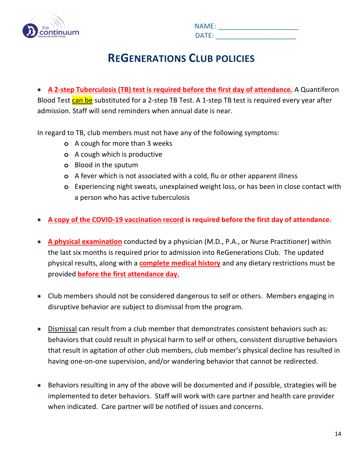

|     | <b>NAME:</b>    |
|-----|-----------------|
| lum | $\mathsf{DATF}$ |

# **REGENERATIONS CLUB POLICIES**

• **A 2-step Tuberculosis (TB) test is required before the first day of attendance.** A Quantiferon Blood Test can be substituted for a 2-step TB Test. A 1-step TB test is required every year after admission. Staff will send reminders when annual date is near.

In regard to TB, club members must not have any of the following symptoms:

- **o** A cough for more than 3 weeks
- **o** A cough which is productive
- **o** Blood in the sputum
- **o** A fever which is not associated with a cold, flu or other apparent illness
- **o** Experiencing night sweats, unexplained weight loss, or has been in close contact with a person who has active tuberculosis
- **A copy of the COVID-19 vaccination record is required before the first day of attendance.**
- **A physical examination** conducted by a physician (M.D., P.A., or Nurse Practitioner) within the last six months is required prior to admission into ReGenerations Club. The updated physical results, along with a **complete medical history** and any dietary restrictions must be provided **before the first attendance day.**
- Club members should not be considered dangerous to self or others. Members engaging in disruptive behavior are subject to dismissal from the program.
- Dismissal can result from a club member that demonstrates consistent behaviors such as: behaviors that could result in physical harm to self or others, consistent disruptive behaviors that result in agitation of other club members, club member's physical decline has resulted in having one-on-one supervision, and/or wandering behavior that cannot be redirected.
- Behaviors resulting in any of the above will be documented and if possible, strategies will be implemented to deter behaviors. Staff will work with care partner and health care provider when indicated. Care partner will be notified of issues and concerns.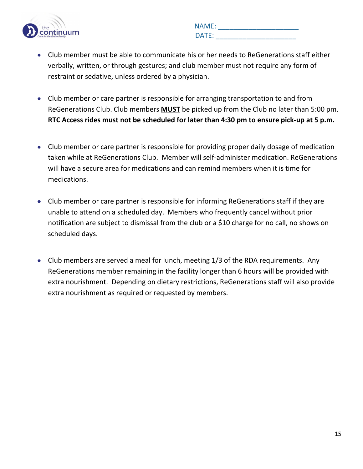

|     | <b>NAME:</b> |
|-----|--------------|
| lum | DATE:        |

- Club member must be able to communicate his or her needs to ReGenerations staff either verbally, written, or through gestures; and club member must not require any form of restraint or sedative, unless ordered by a physician.
- Club member or care partner is responsible for arranging transportation to and from ReGenerations Club. Club members **MUST** be picked up from the Club no later than 5:00 pm. **RTC Access rides must not be scheduled for later than 4:30 pm to ensure pick-up at 5 p.m.**
- Club member or care partner is responsible for providing proper daily dosage of medication taken while at ReGenerations Club. Member will self-administer medication. ReGenerations will have a secure area for medications and can remind members when it is time for medications.
- Club member or care partner is responsible for informing ReGenerations staff if they are unable to attend on a scheduled day. Members who frequently cancel without prior notification are subject to dismissal from the club or a \$10 charge for no call, no shows on scheduled days.
- Club members are served a meal for lunch, meeting 1/3 of the RDA requirements. Any ReGenerations member remaining in the facility longer than 6 hours will be provided with extra nourishment. Depending on dietary restrictions, ReGenerations staff will also provide extra nourishment as required or requested by members.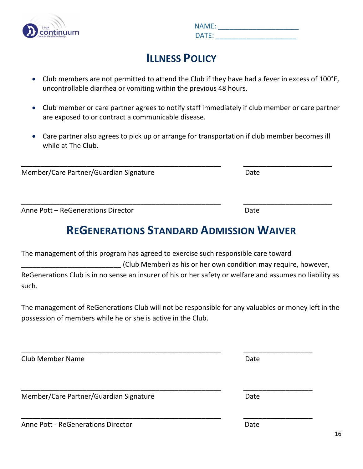

|     | <b>NAME:</b> |
|-----|--------------|
| lum | DATE:        |

# **ILLNESS POLICY**

- Club members are not permitted to attend the Club if they have had a fever in excess of 100°F, uncontrollable diarrhea or vomiting within the previous 48 hours.
- Club member or care partner agrees to notify staff immediately if club member or care partner are exposed to or contract a communicable disease.
- Care partner also agrees to pick up or arrange for transportation if club member becomes ill while at The Club.

\_\_\_\_\_\_\_\_\_\_\_\_\_\_\_\_\_\_\_\_\_\_\_\_\_\_\_\_\_\_\_\_\_\_\_\_\_\_\_\_\_\_\_\_\_\_\_\_\_\_\_\_ \_\_\_\_\_\_\_\_\_\_\_\_\_\_\_\_\_\_\_\_\_\_\_

\_\_\_\_\_\_\_\_\_\_\_\_\_\_\_\_\_\_\_\_\_\_\_\_\_\_\_\_\_\_\_\_\_\_\_\_\_\_\_\_\_\_\_\_\_\_\_\_\_\_\_\_ \_\_\_\_\_\_\_\_\_\_\_\_\_\_\_\_\_\_\_\_\_\_\_

Member/Care Partner/Guardian Signature Date

Anne Pott – ReGenerations Director Date Date Date

# **REGENERATIONS STANDARD ADMISSION WAIVER**

| The management of this program has agreed to exercise such responsible care toward                       |  |  |
|----------------------------------------------------------------------------------------------------------|--|--|
| (Club Member) as his or her own condition may require, however,                                          |  |  |
| ReGenerations Club is in no sense an insurer of his or her safety or welfare and assumes no liability as |  |  |
| such.                                                                                                    |  |  |

The management of ReGenerations Club will not be responsible for any valuables or money left in the possession of members while he or she is active in the Club.

| <b>Club Member Name</b>                   | Date |
|-------------------------------------------|------|
| Member/Care Partner/Guardian Signature    | Date |
| <b>Anne Pott - ReGenerations Director</b> | Date |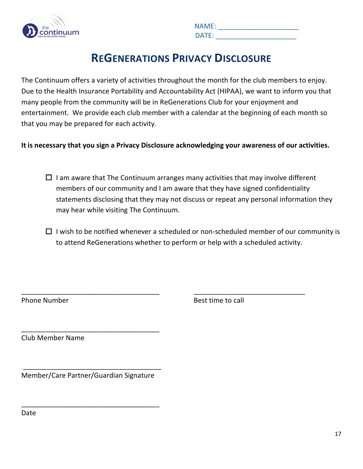

| lum | <b>NAME:</b>    |
|-----|-----------------|
|     | $\mathsf{DATF}$ |

### **REGENERATIONS PRIVACY DISCLOSURE**

The Continuum offers a variety of activities throughout the month for the club members to enjoy. Due to the Health Insurance Portability and Accountability Act (HIPAA), we want to inform you that many people from the community will be in ReGenerations Club for your enjoyment and entertainment. We provide each club member with a calendar at the beginning of each month so that you may be prepared for each activity.

**It is necessary that you sign a Privacy Disclosure acknowledging your awareness of our activities.**

- $\Box$  I am aware that The Continuum arranges many activities that may involve different members of our community and I am aware that they have signed confidentiality statements disclosing that they may not discuss or repeat any personal information they may hear while visiting The Continuum.
- $\Box$  I wish to be notified whenever a scheduled or non-scheduled member of our community is to attend ReGenerations whether to perform or help with a scheduled activity.

\_\_\_\_\_\_\_\_\_\_\_\_\_\_\_\_\_\_\_\_\_\_\_\_\_\_\_\_\_\_\_\_\_\_\_\_ \_\_\_\_\_\_\_\_\_\_\_\_\_\_\_\_\_\_\_\_\_\_\_\_\_\_\_\_\_

Phone Number **Best time to call** 

Club Member Name

Member/Care Partner/Guardian Signature

\_\_\_\_\_\_\_\_\_\_\_\_\_\_\_\_\_\_\_\_\_\_\_\_\_\_\_\_\_\_\_\_\_\_\_\_

\_\_\_\_\_\_\_\_\_\_\_\_\_\_\_\_\_\_\_\_\_\_\_\_\_\_\_\_\_\_\_\_\_\_\_\_

\_\_\_\_\_\_\_\_\_\_\_\_\_\_\_\_\_\_\_\_\_\_\_\_\_\_\_\_\_\_\_\_\_\_\_\_

Date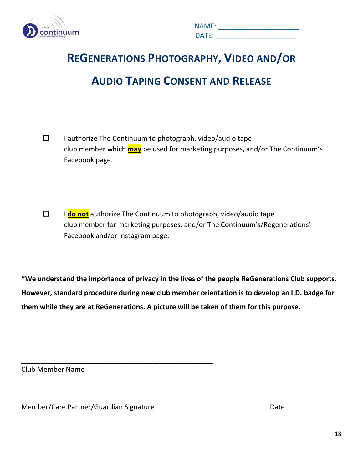

| lum | <b>NAME:</b> |
|-----|--------------|
|     | DATF<br>. .  |

# **REGENERATIONS PHOTOGRAPHY, VIDEO AND/OR AUDIO TAPING CONSENT AND RELEASE**

- $\Box$  I authorize The Continuum to photograph, video/audio tape club member which **may** be used for marketing purposes, and/or The Continuum's Facebook page.
- I **do not** authorize The Continuum to photograph, video/audio tape club member for marketing purposes, and/or The Continuum's/Regenerations' Facebook and/or Instagram page.

**\*We understand the importance of privacy in the lives of the people ReGenerations Club supports. However, standard procedure during new club member orientation is to develop an I.D. badge for them while they are at ReGenerations. A picture will be taken of them for this purpose.**

\_\_\_\_\_\_\_\_\_\_\_\_\_\_\_\_\_\_\_\_\_\_\_\_\_\_\_\_\_\_\_\_\_\_\_\_\_\_\_\_\_\_\_\_\_\_\_\_\_\_ \_\_\_\_\_\_\_\_\_\_\_\_\_\_\_\_\_

Club Member Name

Member/Care Partner/Guardian Signature de Care de Care Date

\_\_\_\_\_\_\_\_\_\_\_\_\_\_\_\_\_\_\_\_\_\_\_\_\_\_\_\_\_\_\_\_\_\_\_\_\_\_\_\_\_\_\_\_\_\_\_\_\_\_